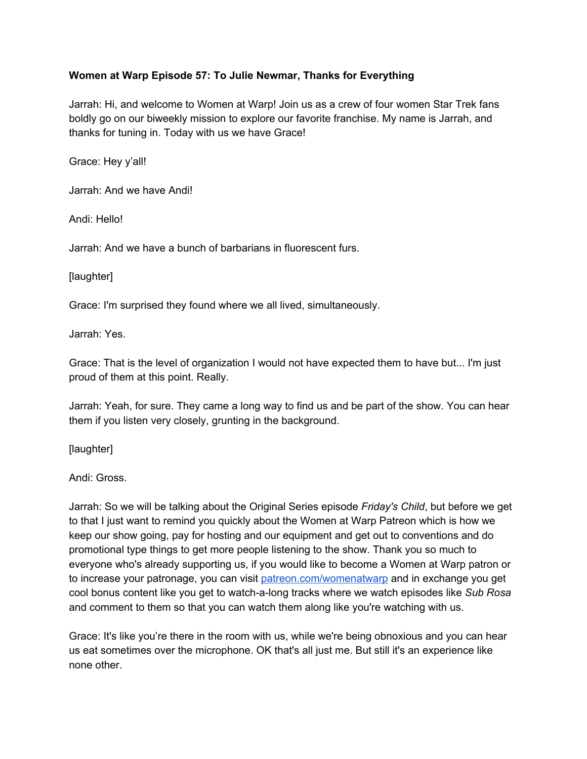# **Women at Warp Episode 57: To Julie Newmar, Thanks for Everything**

Jarrah: Hi, and welcome to Women at Warp! Join us as a crew of four women Star Trek fans boldly go on our biweekly mission to explore our favorite franchise. My name is Jarrah, and thanks for tuning in. Today with us we have Grace!

Grace: Hey y'all!

Jarrah: And we have Andi!

Andi: Hello!

Jarrah: And we have a bunch of barbarians in fluorescent furs.

[laughter]

Grace: I'm surprised they found where we all lived, simultaneously.

Jarrah: Yes.

Grace: That is the level of organization I would not have expected them to have but... I'm just proud of them at this point. Really.

Jarrah: Yeah, for sure. They came a long way to find us and be part of the show. You can hear them if you listen very closely, grunting in the background.

[laughter]

Andi: Gross.

Jarrah: So we will be talking about the Original Series episode *Friday's Child*, but before we get to that I just want to remind you quickly about the Women at Warp Patreon which is how we keep our show going, pay for hosting and our equipment and get out to conventions and do promotional type things to get more people listening to the show. Thank you so much to everyone who's already supporting us, if you would like to become a Women at Warp patron or to increase your patronage, you can visit [patreon.com/womenatwarp](https://www.patreon.com/womenatwarp) and in exchange you get cool bonus content like you get to watch-a-long tracks where we watch episodes like *Sub Rosa* and comment to them so that you can watch them along like you're watching with us.

Grace: It's like you're there in the room with us, while we're being obnoxious and you can hear us eat sometimes over the microphone. OK that's all just me. But still it's an experience like none other.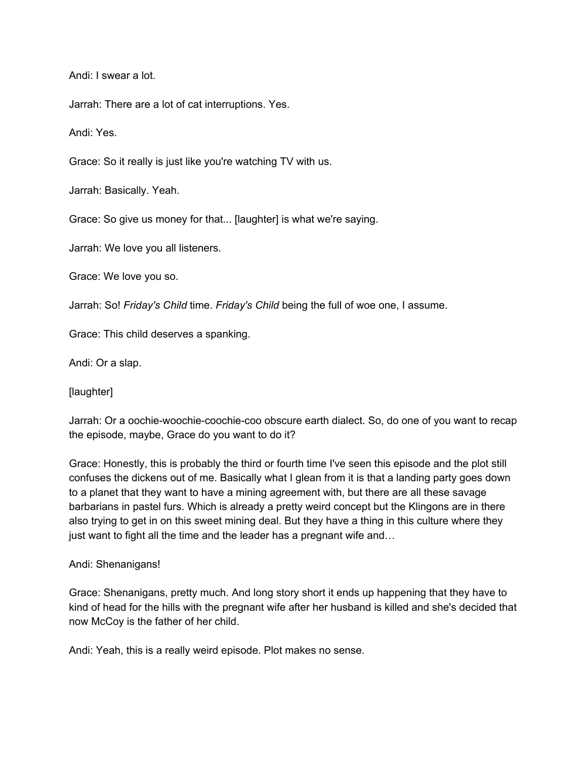Andi: I swear a lot.

Jarrah: There are a lot of cat interruptions. Yes.

Andi: Yes.

Grace: So it really is just like you're watching TV with us.

Jarrah: Basically. Yeah.

Grace: So give us money for that... [laughter] is what we're saying.

Jarrah: We love you all listeners.

Grace: We love you so.

Jarrah: So! *Friday's Child* time. *Friday's Child* being the full of woe one, I assume.

Grace: This child deserves a spanking.

Andi: Or a slap.

[laughter]

Jarrah: Or a oochie-woochie-coochie-coo obscure earth dialect. So, do one of you want to recap the episode, maybe, Grace do you want to do it?

Grace: Honestly, this is probably the third or fourth time I've seen this episode and the plot still confuses the dickens out of me. Basically what I glean from it is that a landing party goes down to a planet that they want to have a mining agreement with, but there are all these savage barbarians in pastel furs. Which is already a pretty weird concept but the Klingons are in there also trying to get in on this sweet mining deal. But they have a thing in this culture where they just want to fight all the time and the leader has a pregnant wife and…

#### Andi: Shenanigans!

Grace: Shenanigans, pretty much. And long story short it ends up happening that they have to kind of head for the hills with the pregnant wife after her husband is killed and she's decided that now McCoy is the father of her child.

Andi: Yeah, this is a really weird episode. Plot makes no sense.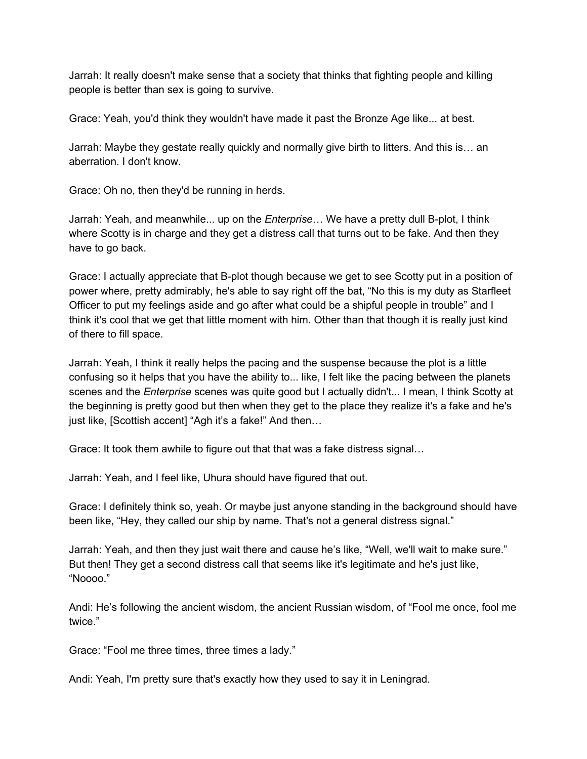Jarrah: It really doesn't make sense that a society that thinks that fighting people and killing people is better than sex is going to survive.

Grace: Yeah, you'd think they wouldn't have made it past the Bronze Age like... at best.

Jarrah: Maybe they gestate really quickly and normally give birth to litters. And this is… an aberration. I don't know.

Grace: Oh no, then they'd be running in herds.

Jarrah: Yeah, and meanwhile... up on the *Enterprise*… We have a pretty dull B-plot, I think where Scotty is in charge and they get a distress call that turns out to be fake. And then they have to go back.

Grace: I actually appreciate that B-plot though because we get to see Scotty put in a position of power where, pretty admirably, he's able to say right off the bat, "No this is my duty as Starfleet Officer to put my feelings aside and go after what could be a shipful people in trouble" and I think it's cool that we get that little moment with him. Other than that though it is really just kind of there to fill space.

Jarrah: Yeah, I think it really helps the pacing and the suspense because the plot is a little confusing so it helps that you have the ability to... like, I felt like the pacing between the planets scenes and the *Enterprise* scenes was quite good but I actually didn't... I mean, I think Scotty at the beginning is pretty good but then when they get to the place they realize it's a fake and he's just like, [Scottish accent] "Agh it's a fake!" And then…

Grace: It took them awhile to figure out that that was a fake distress signal…

Jarrah: Yeah, and I feel like, Uhura should have figured that out.

Grace: I definitely think so, yeah. Or maybe just anyone standing in the background should have been like, "Hey, they called our ship by name. That's not a general distress signal."

Jarrah: Yeah, and then they just wait there and cause he's like, "Well, we'll wait to make sure." But then! They get a second distress call that seems like it's legitimate and he's just like, "Noooo."

Andi: He's following the ancient wisdom, the ancient Russian wisdom, of "Fool me once, fool me twice."

Grace: "Fool me three times, three times a lady."

Andi: Yeah, I'm pretty sure that's exactly how they used to say it in Leningrad.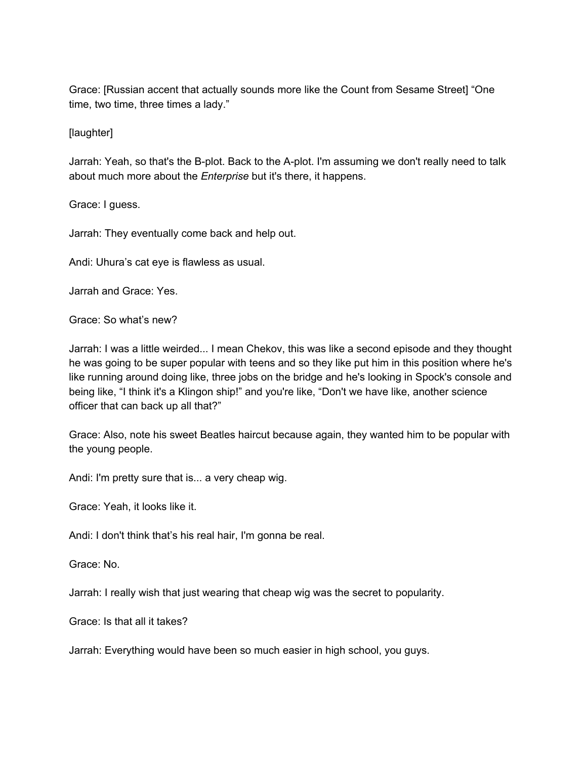Grace: [Russian accent that actually sounds more like the Count from Sesame Street] "One time, two time, three times a lady."

[laughter]

Jarrah: Yeah, so that's the B-plot. Back to the A-plot. I'm assuming we don't really need to talk about much more about the *Enterprise* but it's there, it happens.

Grace: I guess.

Jarrah: They eventually come back and help out.

Andi: Uhura's cat eye is flawless as usual.

Jarrah and Grace: Yes.

Grace: So what's new?

Jarrah: I was a little weirded... I mean Chekov, this was like a second episode and they thought he was going to be super popular with teens and so they like put him in this position where he's like running around doing like, three jobs on the bridge and he's looking in Spock's console and being like, "I think it's a Klingon ship!" and you're like, "Don't we have like, another science officer that can back up all that?"

Grace: Also, note his sweet Beatles haircut because again, they wanted him to be popular with the young people.

Andi: I'm pretty sure that is... a very cheap wig.

Grace: Yeah, it looks like it.

Andi: I don't think that's his real hair, I'm gonna be real.

Grace: No.

Jarrah: I really wish that just wearing that cheap wig was the secret to popularity.

Grace: Is that all it takes?

Jarrah: Everything would have been so much easier in high school, you guys.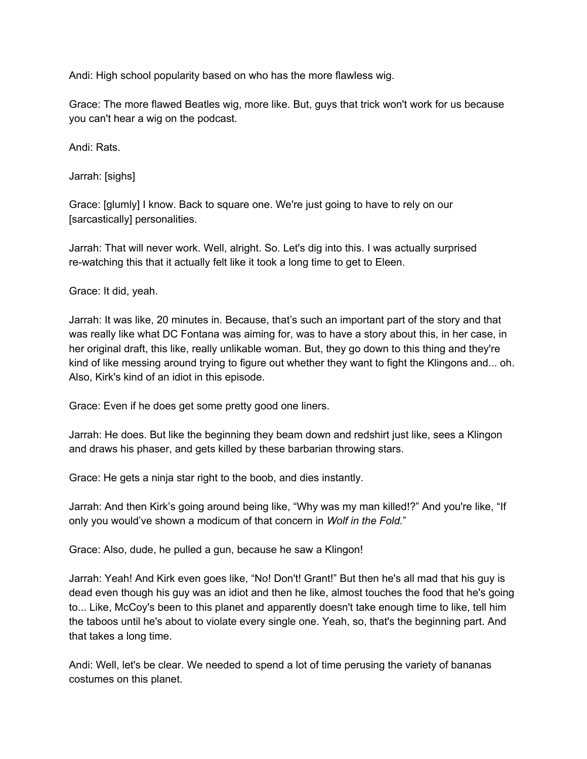Andi: High school popularity based on who has the more flawless wig.

Grace: The more flawed Beatles wig, more like. But, guys that trick won't work for us because you can't hear a wig on the podcast.

Andi: Rats.

Jarrah: [sighs]

Grace: [glumly] I know. Back to square one. We're just going to have to rely on our [sarcastically] personalities.

Jarrah: That will never work. Well, alright. So. Let's dig into this. I was actually surprised re-watching this that it actually felt like it took a long time to get to Eleen.

Grace: It did, yeah.

Jarrah: It was like, 20 minutes in. Because, that's such an important part of the story and that was really like what DC Fontana was aiming for, was to have a story about this, in her case, in her original draft, this like, really unlikable woman. But, they go down to this thing and they're kind of like messing around trying to figure out whether they want to fight the Klingons and... oh. Also, Kirk's kind of an idiot in this episode.

Grace: Even if he does get some pretty good one liners.

Jarrah: He does. But like the beginning they beam down and redshirt just like, sees a Klingon and draws his phaser, and gets killed by these barbarian throwing stars.

Grace: He gets a ninja star right to the boob, and dies instantly.

Jarrah: And then Kirk's going around being like, "Why was my man killed!?" And you're like, "If only you would've shown a modicum of that concern in *Wolf in the Fold.*"

Grace: Also, dude, he pulled a gun, because he saw a Klingon!

Jarrah: Yeah! And Kirk even goes like, "No! Don't! Grant!" But then he's all mad that his guy is dead even though his guy was an idiot and then he like, almost touches the food that he's going to... Like, McCoy's been to this planet and apparently doesn't take enough time to like, tell him the taboos until he's about to violate every single one. Yeah, so, that's the beginning part. And that takes a long time.

Andi: Well, let's be clear. We needed to spend a lot of time perusing the variety of bananas costumes on this planet.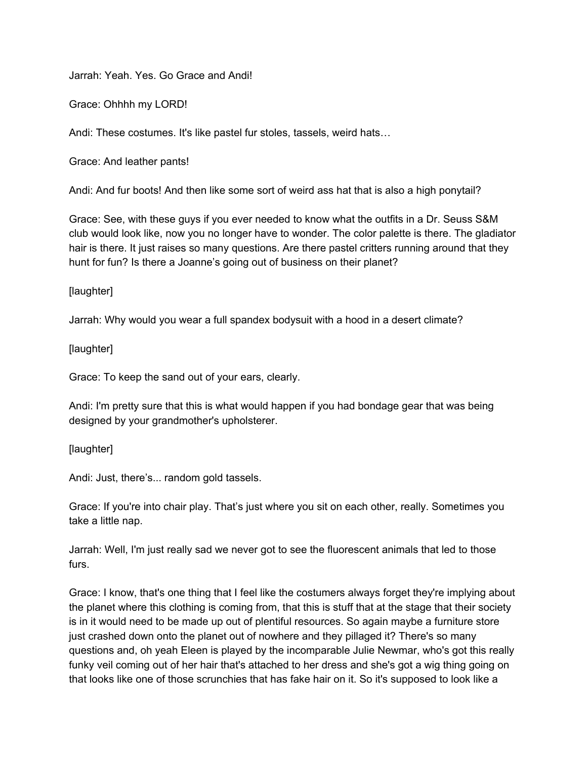Jarrah: Yeah. Yes. Go Grace and Andi!

Grace: Ohhhh my LORD!

Andi: These costumes. It's like pastel fur stoles, tassels, weird hats…

Grace: And leather pants!

Andi: And fur boots! And then like some sort of weird ass hat that is also a high ponytail?

Grace: See, with these guys if you ever needed to know what the outfits in a Dr. Seuss S&M club would look like, now you no longer have to wonder. The color palette is there. The gladiator hair is there. It just raises so many questions. Are there pastel critters running around that they hunt for fun? Is there a Joanne's going out of business on their planet?

[laughter]

Jarrah: Why would you wear a full spandex bodysuit with a hood in a desert climate?

[laughter]

Grace: To keep the sand out of your ears, clearly.

Andi: I'm pretty sure that this is what would happen if you had bondage gear that was being designed by your grandmother's upholsterer.

[laughter]

Andi: Just, there's... random gold tassels.

Grace: If you're into chair play. That's just where you sit on each other, really. Sometimes you take a little nap.

Jarrah: Well, I'm just really sad we never got to see the fluorescent animals that led to those furs.

Grace: I know, that's one thing that I feel like the costumers always forget they're implying about the planet where this clothing is coming from, that this is stuff that at the stage that their society is in it would need to be made up out of plentiful resources. So again maybe a furniture store just crashed down onto the planet out of nowhere and they pillaged it? There's so many questions and, oh yeah Eleen is played by the incomparable Julie Newmar, who's got this really funky veil coming out of her hair that's attached to her dress and she's got a wig thing going on that looks like one of those scrunchies that has fake hair on it. So it's supposed to look like a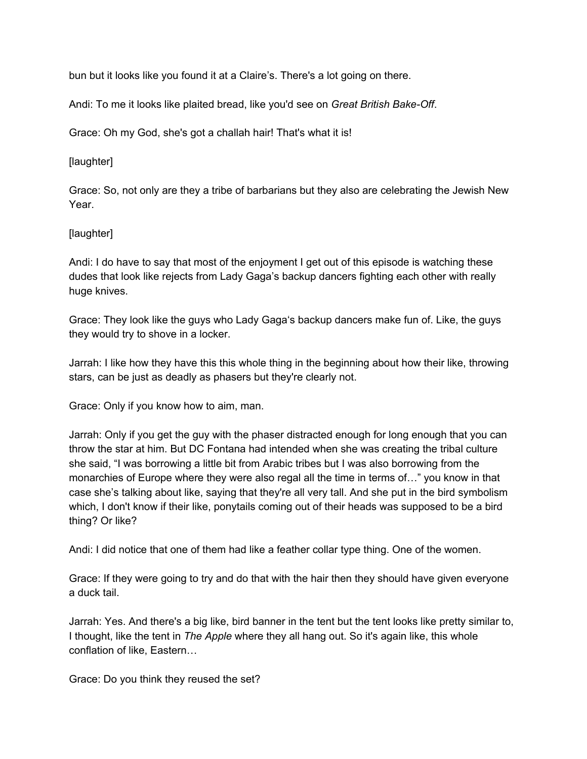bun but it looks like you found it at a Claire's. There's a lot going on there.

Andi: To me it looks like plaited bread, like you'd see on *Great British Bake-Off*.

Grace: Oh my God, she's got a challah hair! That's what it is!

[laughter]

Grace: So, not only are they a tribe of barbarians but they also are celebrating the Jewish New Year.

[laughter]

Andi: I do have to say that most of the enjoyment I get out of this episode is watching these dudes that look like rejects from Lady Gaga's backup dancers fighting each other with really huge knives.

Grace: They look like the guys who Lady Gaga's backup dancers make fun of. Like, the guys they would try to shove in a locker.

Jarrah: I like how they have this this whole thing in the beginning about how their like, throwing stars, can be just as deadly as phasers but they're clearly not.

Grace: Only if you know how to aim, man.

Jarrah: Only if you get the guy with the phaser distracted enough for long enough that you can throw the star at him. But DC Fontana had intended when she was creating the tribal culture she said, "I was borrowing a little bit from Arabic tribes but I was also borrowing from the monarchies of Europe where they were also regal all the time in terms of…" you know in that case she's talking about like, saying that they're all very tall. And she put in the bird symbolism which, I don't know if their like, ponytails coming out of their heads was supposed to be a bird thing? Or like?

Andi: I did notice that one of them had like a feather collar type thing. One of the women.

Grace: If they were going to try and do that with the hair then they should have given everyone a duck tail.

Jarrah: Yes. And there's a big like, bird banner in the tent but the tent looks like pretty similar to, I thought, like the tent in *The Apple* where they all hang out. So it's again like, this whole conflation of like, Eastern…

Grace: Do you think they reused the set?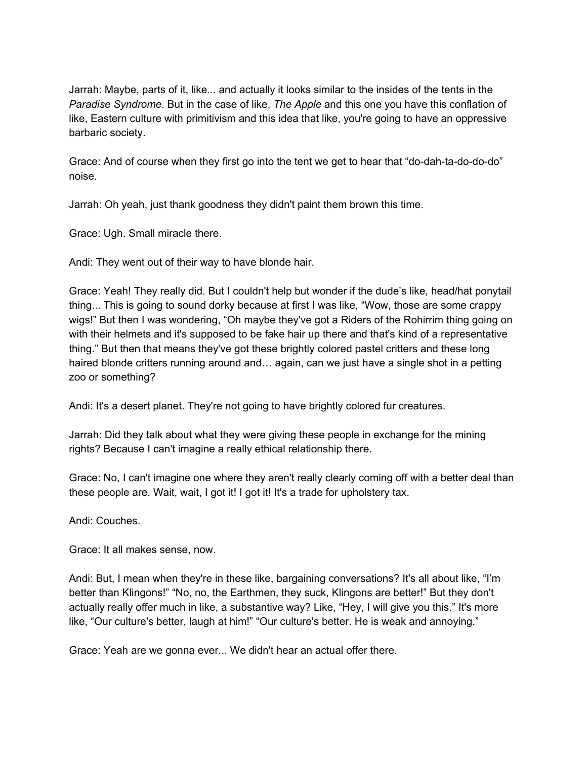Jarrah: Maybe, parts of it, like... and actually it looks similar to the insides of the tents in the *Paradise Syndrome*. But in the case of like, *The Apple* and this one you have this conflation of like, Eastern culture with primitivism and this idea that like, you're going to have an oppressive barbaric society.

Grace: And of course when they first go into the tent we get to hear that "do-dah-ta-do-do-do" noise.

Jarrah: Oh yeah, just thank goodness they didn't paint them brown this time.

Grace: Ugh. Small miracle there.

Andi: They went out of their way to have blonde hair.

Grace: Yeah! They really did. But I couldn't help but wonder if the dude's like, head/hat ponytail thing... This is going to sound dorky because at first I was like, "Wow, those are some crappy wigs!" But then I was wondering, "Oh maybe they've got a Riders of the Rohirrim thing going on with their helmets and it's supposed to be fake hair up there and that's kind of a representative thing." But then that means they've got these brightly colored pastel critters and these long haired blonde critters running around and... again, can we just have a single shot in a petting zoo or something?

Andi: It's a desert planet. They're not going to have brightly colored fur creatures.

Jarrah: Did they talk about what they were giving these people in exchange for the mining rights? Because I can't imagine a really ethical relationship there.

Grace: No, I can't imagine one where they aren't really clearly coming off with a better deal than these people are. Wait, wait, I got it! I got it! It's a trade for upholstery tax.

Andi: Couches.

Grace: It all makes sense, now.

Andi: But, I mean when they're in these like, bargaining conversations? It's all about like, "I'm better than Klingons!" "No, no, the Earthmen, they suck, Klingons are better!" But they don't actually really offer much in like, a substantive way? Like, "Hey, I will give you this." It's more like, "Our culture's better, laugh at him!" "Our culture's better. He is weak and annoying."

Grace: Yeah are we gonna ever... We didn't hear an actual offer there.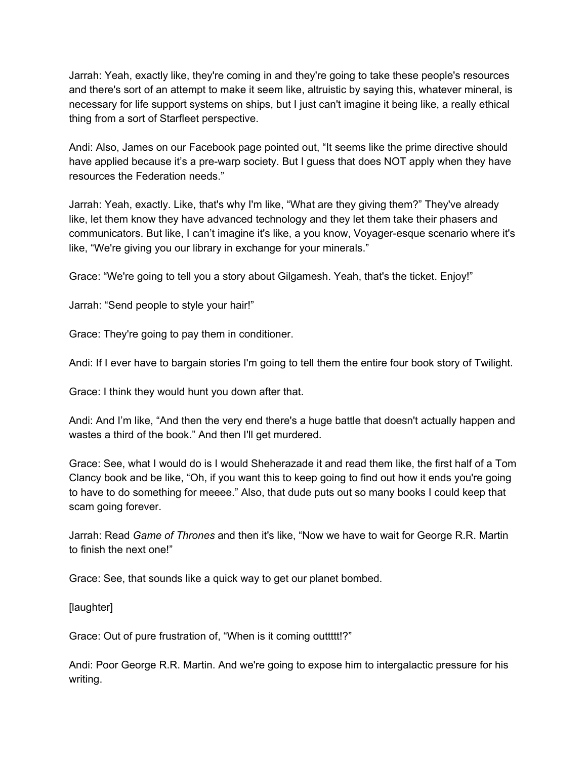Jarrah: Yeah, exactly like, they're coming in and they're going to take these people's resources and there's sort of an attempt to make it seem like, altruistic by saying this, whatever mineral, is necessary for life support systems on ships, but I just can't imagine it being like, a really ethical thing from a sort of Starfleet perspective.

Andi: Also, James on our Facebook page pointed out, "It seems like the prime directive should have applied because it's a pre-warp society. But I guess that does NOT apply when they have resources the Federation needs."

Jarrah: Yeah, exactly. Like, that's why I'm like, "What are they giving them?" They've already like, let them know they have advanced technology and they let them take their phasers and communicators. But like, I can't imagine it's like, a you know, Voyager-esque scenario where it's like, "We're giving you our library in exchange for your minerals."

Grace: "We're going to tell you a story about Gilgamesh. Yeah, that's the ticket. Enjoy!"

Jarrah: "Send people to style your hair!"

Grace: They're going to pay them in conditioner.

Andi: If I ever have to bargain stories I'm going to tell them the entire four book story of Twilight.

Grace: I think they would hunt you down after that.

Andi: And I'm like, "And then the very end there's a huge battle that doesn't actually happen and wastes a third of the book." And then I'll get murdered.

Grace: See, what I would do is I would Sheherazade it and read them like, the first half of a Tom Clancy book and be like, "Oh, if you want this to keep going to find out how it ends you're going to have to do something for meeee." Also, that dude puts out so many books I could keep that scam going forever.

Jarrah: Read *Game of Thrones* and then it's like, "Now we have to wait for George R.R. Martin to finish the next one!"

Grace: See, that sounds like a quick way to get our planet bombed.

[laughter]

Grace: Out of pure frustration of, "When is it coming outtttt!?"

Andi: Poor George R.R. Martin. And we're going to expose him to intergalactic pressure for his writing.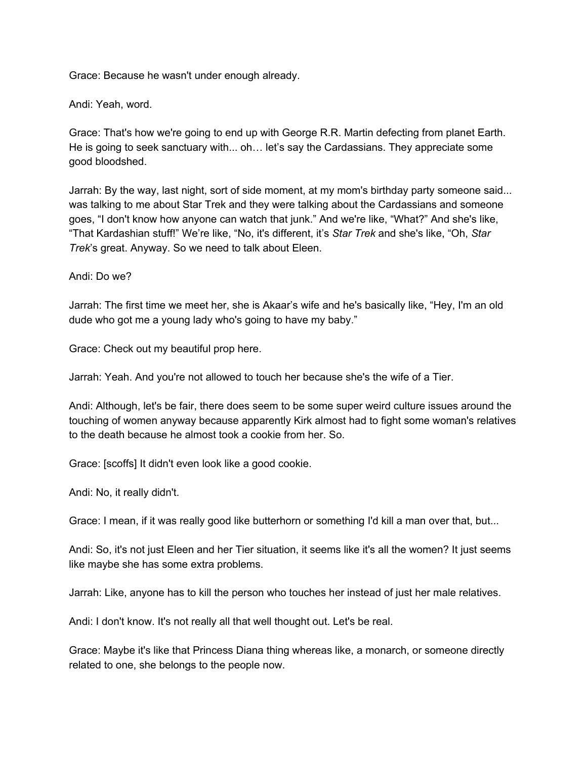Grace: Because he wasn't under enough already.

Andi: Yeah, word.

Grace: That's how we're going to end up with George R.R. Martin defecting from planet Earth. He is going to seek sanctuary with... oh… let's say the Cardassians. They appreciate some good bloodshed.

Jarrah: By the way, last night, sort of side moment, at my mom's birthday party someone said... was talking to me about Star Trek and they were talking about the Cardassians and someone goes, "I don't know how anyone can watch that junk." And we're like, "What?" And she's like, "That Kardashian stuff!" We're like, "No, it's different, it's *Star Trek* and she's like, "Oh, *Star Trek*'s great. Anyway. So we need to talk about Eleen.

Andi: Do we?

Jarrah: The first time we meet her, she is Akaar's wife and he's basically like, "Hey, I'm an old dude who got me a young lady who's going to have my baby."

Grace: Check out my beautiful prop here.

Jarrah: Yeah. And you're not allowed to touch her because she's the wife of a Tier.

Andi: Although, let's be fair, there does seem to be some super weird culture issues around the touching of women anyway because apparently Kirk almost had to fight some woman's relatives to the death because he almost took a cookie from her. So.

Grace: [scoffs] It didn't even look like a good cookie.

Andi: No, it really didn't.

Grace: I mean, if it was really good like butterhorn or something I'd kill a man over that, but...

Andi: So, it's not just Eleen and her Tier situation, it seems like it's all the women? It just seems like maybe she has some extra problems.

Jarrah: Like, anyone has to kill the person who touches her instead of just her male relatives.

Andi: I don't know. It's not really all that well thought out. Let's be real.

Grace: Maybe it's like that Princess Diana thing whereas like, a monarch, or someone directly related to one, she belongs to the people now.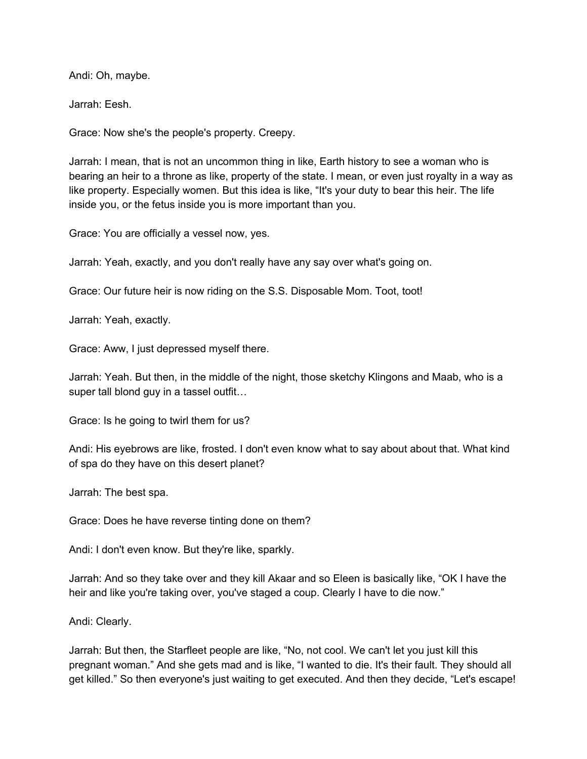Andi: Oh, maybe.

Jarrah: Eesh.

Grace: Now she's the people's property. Creepy.

Jarrah: I mean, that is not an uncommon thing in like, Earth history to see a woman who is bearing an heir to a throne as like, property of the state. I mean, or even just royalty in a way as like property. Especially women. But this idea is like, "It's your duty to bear this heir. The life inside you, or the fetus inside you is more important than you.

Grace: You are officially a vessel now, yes.

Jarrah: Yeah, exactly, and you don't really have any say over what's going on.

Grace: Our future heir is now riding on the S.S. Disposable Mom. Toot, toot!

Jarrah: Yeah, exactly.

Grace: Aww, I just depressed myself there.

Jarrah: Yeah. But then, in the middle of the night, those sketchy Klingons and Maab, who is a super tall blond guy in a tassel outfit…

Grace: Is he going to twirl them for us?

Andi: His eyebrows are like, frosted. I don't even know what to say about about that. What kind of spa do they have on this desert planet?

Jarrah: The best spa.

Grace: Does he have reverse tinting done on them?

Andi: I don't even know. But they're like, sparkly.

Jarrah: And so they take over and they kill Akaar and so Eleen is basically like, "OK I have the heir and like you're taking over, you've staged a coup. Clearly I have to die now."

Andi: Clearly.

Jarrah: But then, the Starfleet people are like, "No, not cool. We can't let you just kill this pregnant woman." And she gets mad and is like, "I wanted to die. It's their fault. They should all get killed." So then everyone's just waiting to get executed. And then they decide, "Let's escape!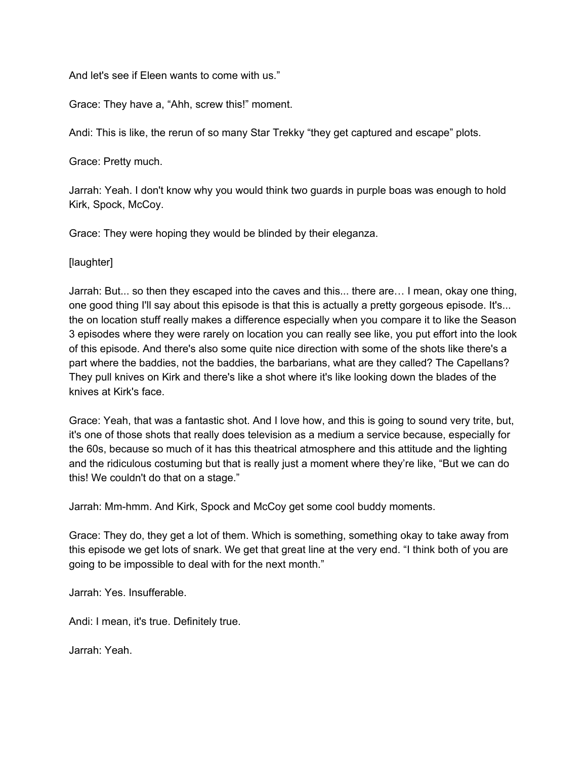And let's see if Eleen wants to come with us."

Grace: They have a, "Ahh, screw this!" moment.

Andi: This is like, the rerun of so many Star Trekky "they get captured and escape" plots.

Grace: Pretty much.

Jarrah: Yeah. I don't know why you would think two guards in purple boas was enough to hold Kirk, Spock, McCoy.

Grace: They were hoping they would be blinded by their eleganza.

[laughter]

Jarrah: But... so then they escaped into the caves and this... there are… I mean, okay one thing, one good thing I'll say about this episode is that this is actually a pretty gorgeous episode. It's... the on location stuff really makes a difference especially when you compare it to like the Season 3 episodes where they were rarely on location you can really see like, you put effort into the look of this episode. And there's also some quite nice direction with some of the shots like there's a part where the baddies, not the baddies, the barbarians, what are they called? The Capellans? They pull knives on Kirk and there's like a shot where it's like looking down the blades of the knives at Kirk's face.

Grace: Yeah, that was a fantastic shot. And I love how, and this is going to sound very trite, but, it's one of those shots that really does television as a medium a service because, especially for the 60s, because so much of it has this theatrical atmosphere and this attitude and the lighting and the ridiculous costuming but that is really just a moment where they're like, "But we can do this! We couldn't do that on a stage."

Jarrah: Mm-hmm. And Kirk, Spock and McCoy get some cool buddy moments.

Grace: They do, they get a lot of them. Which is something, something okay to take away from this episode we get lots of snark. We get that great line at the very end. "I think both of you are going to be impossible to deal with for the next month."

Jarrah: Yes. Insufferable.

Andi: I mean, it's true. Definitely true.

Jarrah: Yeah.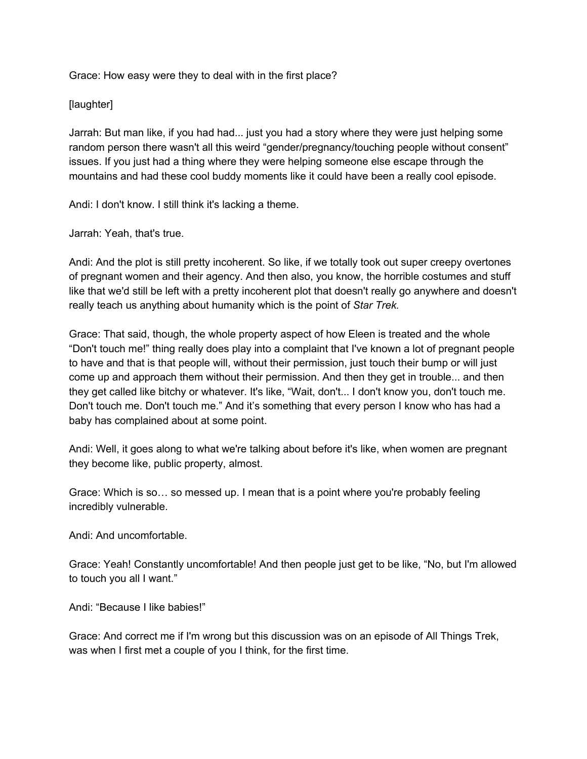Grace: How easy were they to deal with in the first place?

## [laughter]

Jarrah: But man like, if you had had... just you had a story where they were just helping some random person there wasn't all this weird "gender/pregnancy/touching people without consent" issues. If you just had a thing where they were helping someone else escape through the mountains and had these cool buddy moments like it could have been a really cool episode.

Andi: I don't know. I still think it's lacking a theme.

## Jarrah: Yeah, that's true.

Andi: And the plot is still pretty incoherent. So like, if we totally took out super creepy overtones of pregnant women and their agency. And then also, you know, the horrible costumes and stuff like that we'd still be left with a pretty incoherent plot that doesn't really go anywhere and doesn't really teach us anything about humanity which is the point of *Star Trek.*

Grace: That said, though, the whole property aspect of how Eleen is treated and the whole "Don't touch me!" thing really does play into a complaint that I've known a lot of pregnant people to have and that is that people will, without their permission, just touch their bump or will just come up and approach them without their permission. And then they get in trouble... and then they get called like bitchy or whatever. It's like, "Wait, don't... I don't know you, don't touch me. Don't touch me. Don't touch me." And it's something that every person I know who has had a baby has complained about at some point.

Andi: Well, it goes along to what we're talking about before it's like, when women are pregnant they become like, public property, almost.

Grace: Which is so… so messed up. I mean that is a point where you're probably feeling incredibly vulnerable.

Andi: And uncomfortable.

Grace: Yeah! Constantly uncomfortable! And then people just get to be like, "No, but I'm allowed to touch you all I want."

Andi: "Because I like babies!"

Grace: And correct me if I'm wrong but this discussion was on an episode of All Things Trek, was when I first met a couple of you I think, for the first time.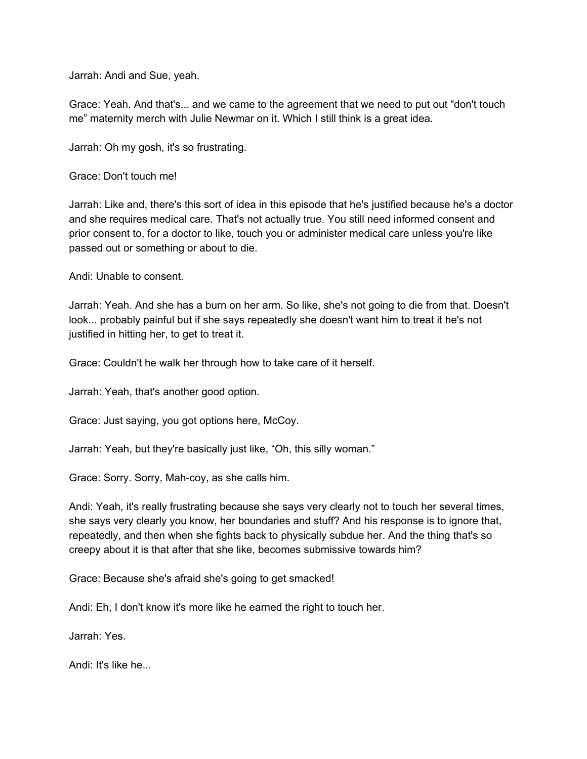Jarrah: Andi and Sue, yeah.

Grace: Yeah. And that's... and we came to the agreement that we need to put out "don't touch me" maternity merch with Julie Newmar on it. Which I still think is a great idea.

Jarrah: Oh my gosh, it's so frustrating.

Grace: Don't touch me!

Jarrah: Like and, there's this sort of idea in this episode that he's justified because he's a doctor and she requires medical care. That's not actually true. You still need informed consent and prior consent to, for a doctor to like, touch you or administer medical care unless you're like passed out or something or about to die.

Andi: Unable to consent.

Jarrah: Yeah. And she has a burn on her arm. So like, she's not going to die from that. Doesn't look... probably painful but if she says repeatedly she doesn't want him to treat it he's not justified in hitting her, to get to treat it.

Grace: Couldn't he walk her through how to take care of it herself.

Jarrah: Yeah, that's another good option.

Grace: Just saying, you got options here, McCoy.

Jarrah: Yeah, but they're basically just like, "Oh, this silly woman."

Grace: Sorry. Sorry, Mah-coy, as she calls him.

Andi: Yeah, it's really frustrating because she says very clearly not to touch her several times, she says very clearly you know, her boundaries and stuff? And his response is to ignore that, repeatedly, and then when she fights back to physically subdue her. And the thing that's so creepy about it is that after that she like, becomes submissive towards him?

Grace: Because she's afraid she's going to get smacked!

Andi: Eh, I don't know it's more like he earned the right to touch her.

Jarrah: Yes.

Andi: It's like he...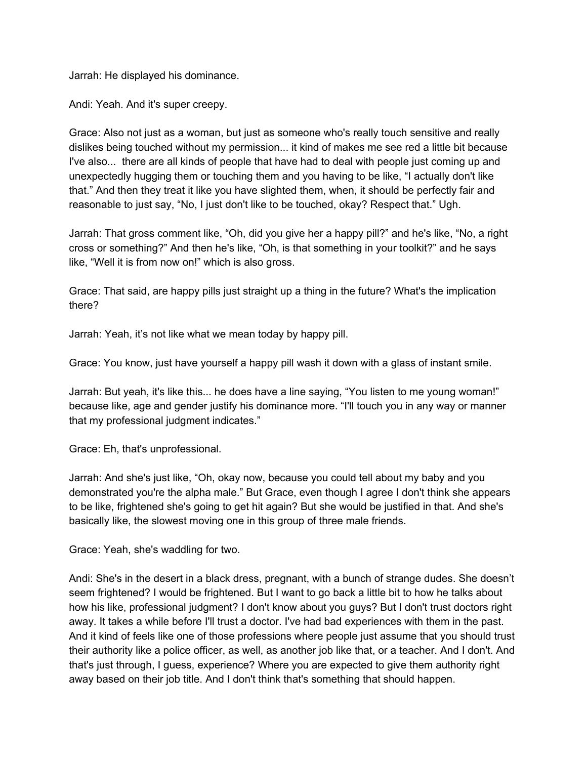Jarrah: He displayed his dominance.

Andi: Yeah. And it's super creepy.

Grace: Also not just as a woman, but just as someone who's really touch sensitive and really dislikes being touched without my permission... it kind of makes me see red a little bit because I've also... there are all kinds of people that have had to deal with people just coming up and unexpectedly hugging them or touching them and you having to be like, "I actually don't like that." And then they treat it like you have slighted them, when, it should be perfectly fair and reasonable to just say, "No, I just don't like to be touched, okay? Respect that." Ugh.

Jarrah: That gross comment like, "Oh, did you give her a happy pill?" and he's like, "No, a right cross or something?" And then he's like, "Oh, is that something in your toolkit?" and he says like, "Well it is from now on!" which is also gross.

Grace: That said, are happy pills just straight up a thing in the future? What's the implication there?

Jarrah: Yeah, it's not like what we mean today by happy pill.

Grace: You know, just have yourself a happy pill wash it down with a glass of instant smile.

Jarrah: But yeah, it's like this... he does have a line saying, "You listen to me young woman!" because like, age and gender justify his dominance more. "I'll touch you in any way or manner that my professional judgment indicates."

Grace: Eh, that's unprofessional.

Jarrah: And she's just like, "Oh, okay now, because you could tell about my baby and you demonstrated you're the alpha male." But Grace, even though I agree I don't think she appears to be like, frightened she's going to get hit again? But she would be justified in that. And she's basically like, the slowest moving one in this group of three male friends.

Grace: Yeah, she's waddling for two.

Andi: She's in the desert in a black dress, pregnant, with a bunch of strange dudes. She doesn't seem frightened? I would be frightened. But I want to go back a little bit to how he talks about how his like, professional judgment? I don't know about you guys? But I don't trust doctors right away. It takes a while before I'll trust a doctor. I've had bad experiences with them in the past. And it kind of feels like one of those professions where people just assume that you should trust their authority like a police officer, as well, as another job like that, or a teacher. And I don't. And that's just through, I guess, experience? Where you are expected to give them authority right away based on their job title. And I don't think that's something that should happen.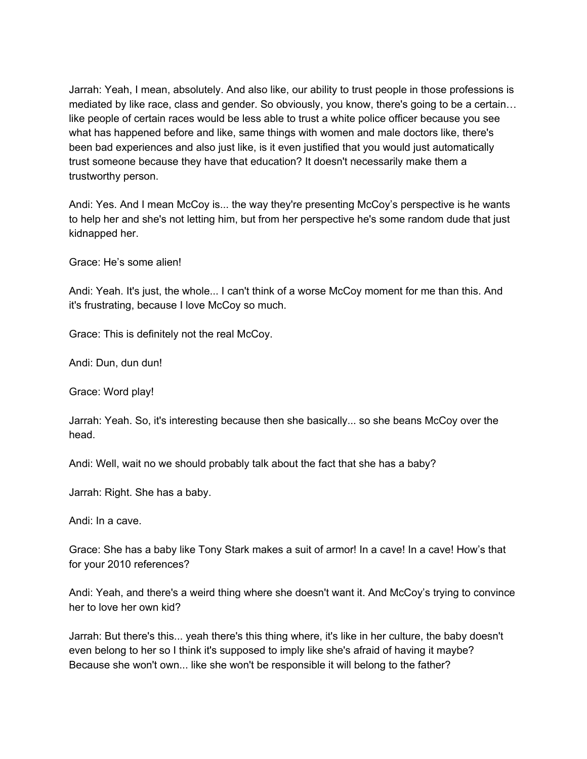Jarrah: Yeah, I mean, absolutely. And also like, our ability to trust people in those professions is mediated by like race, class and gender. So obviously, you know, there's going to be a certain… like people of certain races would be less able to trust a white police officer because you see what has happened before and like, same things with women and male doctors like, there's been bad experiences and also just like, is it even justified that you would just automatically trust someone because they have that education? It doesn't necessarily make them a trustworthy person.

Andi: Yes. And I mean McCoy is... the way they're presenting McCoy's perspective is he wants to help her and she's not letting him, but from her perspective he's some random dude that just kidnapped her.

Grace: He's some alien!

Andi: Yeah. It's just, the whole... I can't think of a worse McCoy moment for me than this. And it's frustrating, because I love McCoy so much.

Grace: This is definitely not the real McCoy.

Andi: Dun, dun dun!

Grace: Word play!

Jarrah: Yeah. So, it's interesting because then she basically... so she beans McCoy over the head.

Andi: Well, wait no we should probably talk about the fact that she has a baby?

Jarrah: Right. She has a baby.

Andi: In a cave.

Grace: She has a baby like Tony Stark makes a suit of armor! In a cave! In a cave! How's that for your 2010 references?

Andi: Yeah, and there's a weird thing where she doesn't want it. And McCoy's trying to convince her to love her own kid?

Jarrah: But there's this... yeah there's this thing where, it's like in her culture, the baby doesn't even belong to her so I think it's supposed to imply like she's afraid of having it maybe? Because she won't own... like she won't be responsible it will belong to the father?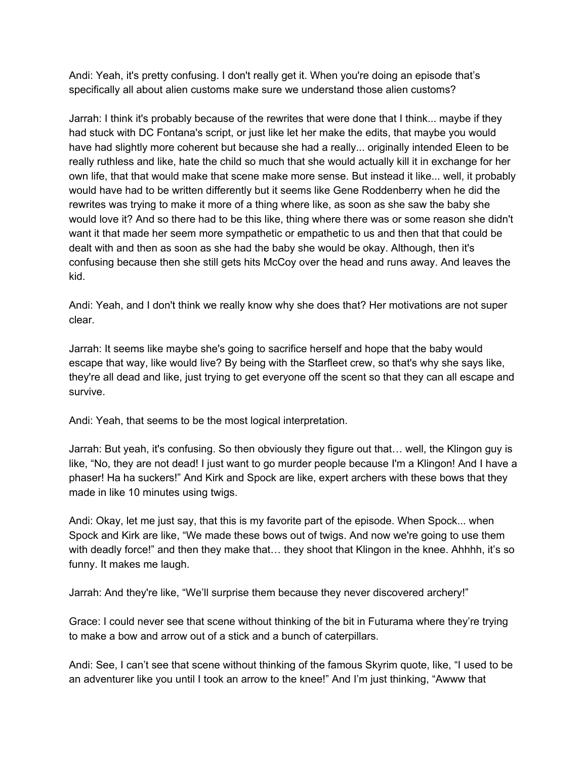Andi: Yeah, it's pretty confusing. I don't really get it. When you're doing an episode that's specifically all about alien customs make sure we understand those alien customs?

Jarrah: I think it's probably because of the rewrites that were done that I think... maybe if they had stuck with DC Fontana's script, or just like let her make the edits, that maybe you would have had slightly more coherent but because she had a really... originally intended Eleen to be really ruthless and like, hate the child so much that she would actually kill it in exchange for her own life, that that would make that scene make more sense. But instead it like... well, it probably would have had to be written differently but it seems like Gene Roddenberry when he did the rewrites was trying to make it more of a thing where like, as soon as she saw the baby she would love it? And so there had to be this like, thing where there was or some reason she didn't want it that made her seem more sympathetic or empathetic to us and then that that could be dealt with and then as soon as she had the baby she would be okay. Although, then it's confusing because then she still gets hits McCoy over the head and runs away. And leaves the kid.

Andi: Yeah, and I don't think we really know why she does that? Her motivations are not super clear.

Jarrah: It seems like maybe she's going to sacrifice herself and hope that the baby would escape that way, like would live? By being with the Starfleet crew, so that's why she says like, they're all dead and like, just trying to get everyone off the scent so that they can all escape and survive.

Andi: Yeah, that seems to be the most logical interpretation.

Jarrah: But yeah, it's confusing. So then obviously they figure out that… well, the Klingon guy is like, "No, they are not dead! I just want to go murder people because I'm a Klingon! And I have a phaser! Ha ha suckers!" And Kirk and Spock are like, expert archers with these bows that they made in like 10 minutes using twigs.

Andi: Okay, let me just say, that this is my favorite part of the episode. When Spock... when Spock and Kirk are like, "We made these bows out of twigs. And now we're going to use them with deadly force!" and then they make that... they shoot that Klingon in the knee. Ahhhh, it's so funny. It makes me laugh.

Jarrah: And they're like, "We'll surprise them because they never discovered archery!"

Grace: I could never see that scene without thinking of the bit in Futurama where they're trying to make a bow and arrow out of a stick and a bunch of caterpillars.

Andi: See, I can't see that scene without thinking of the famous Skyrim quote, like, "I used to be an adventurer like you until I took an arrow to the knee!" And I'm just thinking, "Awww that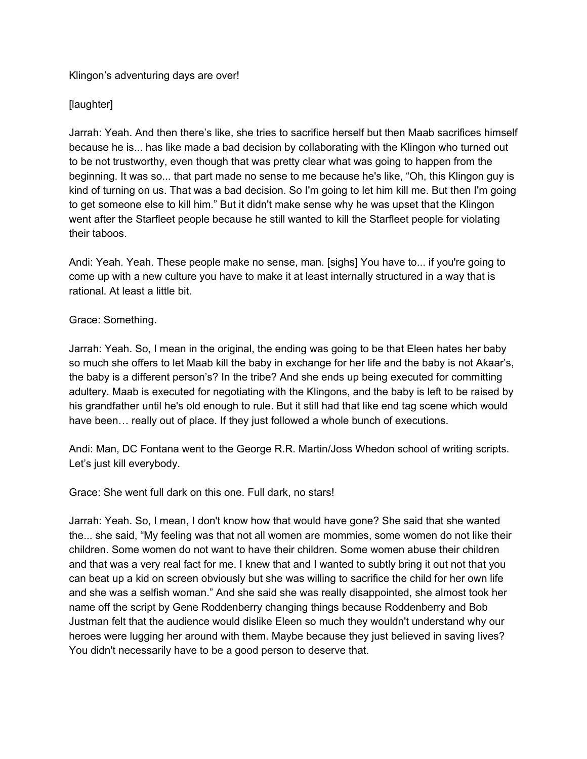## Klingon's adventuring days are over!

# [laughter]

Jarrah: Yeah. And then there's like, she tries to sacrifice herself but then Maab sacrifices himself because he is... has like made a bad decision by collaborating with the Klingon who turned out to be not trustworthy, even though that was pretty clear what was going to happen from the beginning. It was so... that part made no sense to me because he's like, "Oh, this Klingon guy is kind of turning on us. That was a bad decision. So I'm going to let him kill me. But then I'm going to get someone else to kill him." But it didn't make sense why he was upset that the Klingon went after the Starfleet people because he still wanted to kill the Starfleet people for violating their taboos.

Andi: Yeah. Yeah. These people make no sense, man. [sighs] You have to... if you're going to come up with a new culture you have to make it at least internally structured in a way that is rational. At least a little bit.

## Grace: Something.

Jarrah: Yeah. So, I mean in the original, the ending was going to be that Eleen hates her baby so much she offers to let Maab kill the baby in exchange for her life and the baby is not Akaar's, the baby is a different person's? In the tribe? And she ends up being executed for committing adultery. Maab is executed for negotiating with the Klingons, and the baby is left to be raised by his grandfather until he's old enough to rule. But it still had that like end tag scene which would have been… really out of place. If they just followed a whole bunch of executions.

Andi: Man, DC Fontana went to the George R.R. Martin/Joss Whedon school of writing scripts. Let's just kill everybody.

Grace: She went full dark on this one. Full dark, no stars!

Jarrah: Yeah. So, I mean, I don't know how that would have gone? She said that she wanted the... she said, "My feeling was that not all women are mommies, some women do not like their children. Some women do not want to have their children. Some women abuse their children and that was a very real fact for me. I knew that and I wanted to subtly bring it out not that you can beat up a kid on screen obviously but she was willing to sacrifice the child for her own life and she was a selfish woman." And she said she was really disappointed, she almost took her name off the script by Gene Roddenberry changing things because Roddenberry and Bob Justman felt that the audience would dislike Eleen so much they wouldn't understand why our heroes were lugging her around with them. Maybe because they just believed in saving lives? You didn't necessarily have to be a good person to deserve that.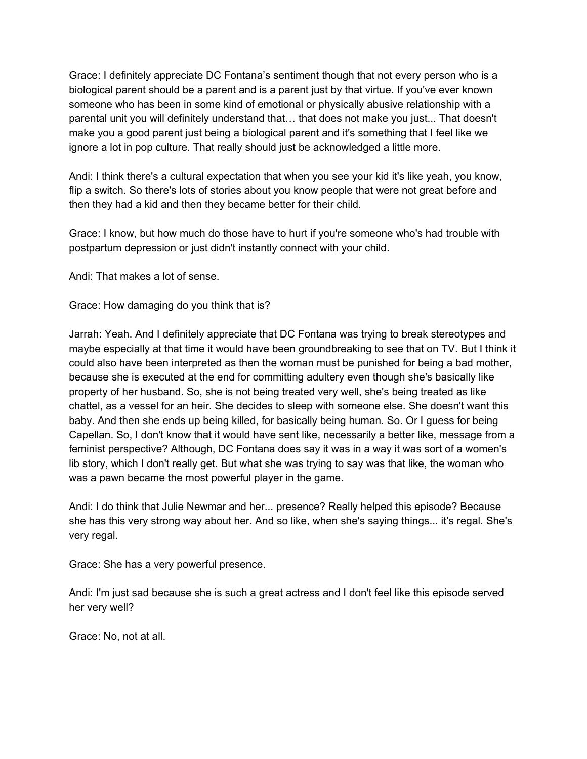Grace: I definitely appreciate DC Fontana's sentiment though that not every person who is a biological parent should be a parent and is a parent just by that virtue. If you've ever known someone who has been in some kind of emotional or physically abusive relationship with a parental unit you will definitely understand that… that does not make you just... That doesn't make you a good parent just being a biological parent and it's something that I feel like we ignore a lot in pop culture. That really should just be acknowledged a little more.

Andi: I think there's a cultural expectation that when you see your kid it's like yeah, you know, flip a switch. So there's lots of stories about you know people that were not great before and then they had a kid and then they became better for their child.

Grace: I know, but how much do those have to hurt if you're someone who's had trouble with postpartum depression or just didn't instantly connect with your child.

Andi: That makes a lot of sense.

Grace: How damaging do you think that is?

Jarrah: Yeah. And I definitely appreciate that DC Fontana was trying to break stereotypes and maybe especially at that time it would have been groundbreaking to see that on TV. But I think it could also have been interpreted as then the woman must be punished for being a bad mother, because she is executed at the end for committing adultery even though she's basically like property of her husband. So, she is not being treated very well, she's being treated as like chattel, as a vessel for an heir. She decides to sleep with someone else. She doesn't want this baby. And then she ends up being killed, for basically being human. So. Or I guess for being Capellan. So, I don't know that it would have sent like, necessarily a better like, message from a feminist perspective? Although, DC Fontana does say it was in a way it was sort of a women's lib story, which I don't really get. But what she was trying to say was that like, the woman who was a pawn became the most powerful player in the game.

Andi: I do think that Julie Newmar and her... presence? Really helped this episode? Because she has this very strong way about her. And so like, when she's saying things... it's regal. She's very regal.

Grace: She has a very powerful presence.

Andi: I'm just sad because she is such a great actress and I don't feel like this episode served her very well?

Grace: No, not at all.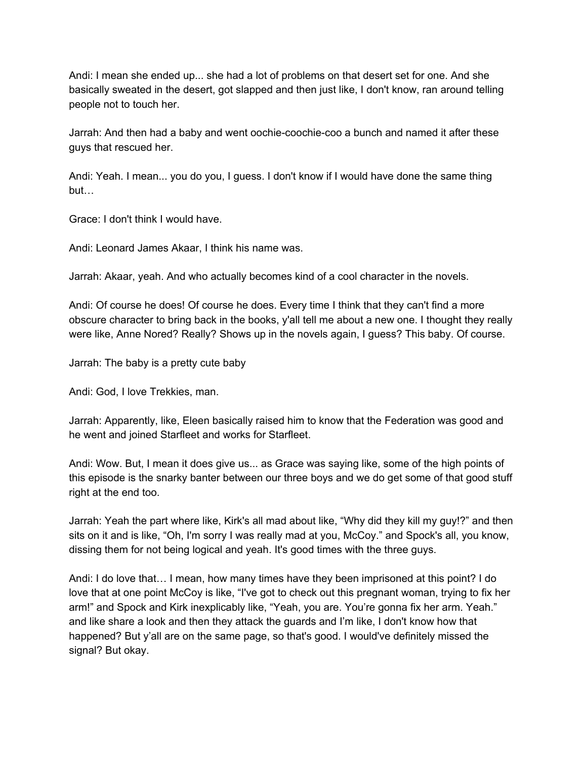Andi: I mean she ended up... she had a lot of problems on that desert set for one. And she basically sweated in the desert, got slapped and then just like, I don't know, ran around telling people not to touch her.

Jarrah: And then had a baby and went oochie-coochie-coo a bunch and named it after these guys that rescued her.

Andi: Yeah. I mean... you do you, I guess. I don't know if I would have done the same thing but…

Grace: I don't think I would have.

Andi: Leonard James Akaar, I think his name was.

Jarrah: Akaar, yeah. And who actually becomes kind of a cool character in the novels.

Andi: Of course he does! Of course he does. Every time I think that they can't find a more obscure character to bring back in the books, y'all tell me about a new one. I thought they really were like, Anne Nored? Really? Shows up in the novels again, I guess? This baby. Of course.

Jarrah: The baby is a pretty cute baby

Andi: God, I love Trekkies, man.

Jarrah: Apparently, like, Eleen basically raised him to know that the Federation was good and he went and joined Starfleet and works for Starfleet.

Andi: Wow. But, I mean it does give us... as Grace was saying like, some of the high points of this episode is the snarky banter between our three boys and we do get some of that good stuff right at the end too.

Jarrah: Yeah the part where like, Kirk's all mad about like, "Why did they kill my guy!?" and then sits on it and is like, "Oh, I'm sorry I was really mad at you, McCoy." and Spock's all, you know, dissing them for not being logical and yeah. It's good times with the three guys.

Andi: I do love that… I mean, how many times have they been imprisoned at this point? I do love that at one point McCoy is like, "I've got to check out this pregnant woman, trying to fix her arm!" and Spock and Kirk inexplicably like, "Yeah, you are. You're gonna fix her arm. Yeah." and like share a look and then they attack the guards and I'm like, I don't know how that happened? But y'all are on the same page, so that's good. I would've definitely missed the signal? But okay.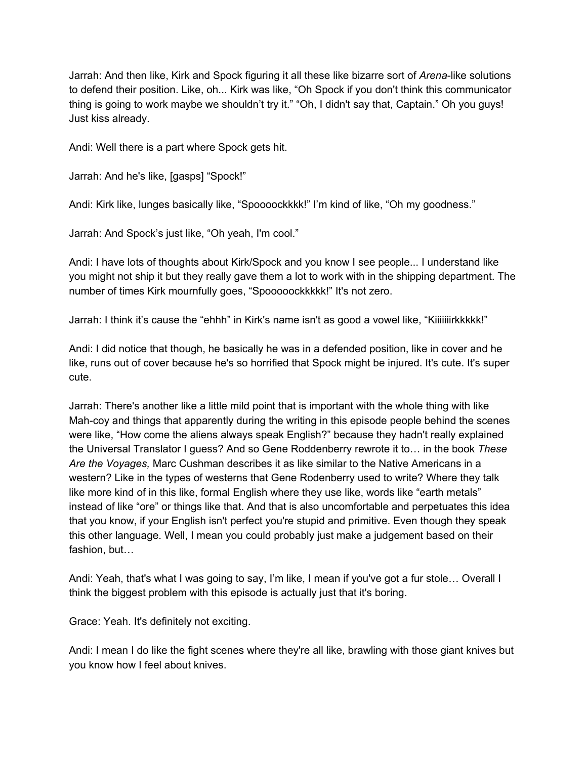Jarrah: And then like, Kirk and Spock figuring it all these like bizarre sort of *Arena*-like solutions to defend their position. Like, oh... Kirk was like, "Oh Spock if you don't think this communicator thing is going to work maybe we shouldn't try it." "Oh, I didn't say that, Captain." Oh you guys! Just kiss already.

Andi: Well there is a part where Spock gets hit.

Jarrah: And he's like, [gasps] "Spock!"

Andi: Kirk like, lunges basically like, "Spoooockkkk!" I'm kind of like, "Oh my goodness."

Jarrah: And Spock's just like, "Oh yeah, I'm cool."

Andi: I have lots of thoughts about Kirk/Spock and you know I see people... I understand like you might not ship it but they really gave them a lot to work with in the shipping department. The number of times Kirk mournfully goes, "Spooooockkkkk!" It's not zero.

Jarrah: I think it's cause the "ehhh" in Kirk's name isn't as good a vowel like, "Kiiiiiiirkkkkk!"

Andi: I did notice that though, he basically he was in a defended position, like in cover and he like, runs out of cover because he's so horrified that Spock might be injured. It's cute. It's super cute.

Jarrah: There's another like a little mild point that is important with the whole thing with like Mah-coy and things that apparently during the writing in this episode people behind the scenes were like, "How come the aliens always speak English?" because they hadn't really explained the Universal Translator I guess? And so Gene Roddenberry rewrote it to… in the book *These Are the Voyages,* Marc Cushman describes it as like similar to the Native Americans in a western? Like in the types of westerns that Gene Rodenberry used to write? Where they talk like more kind of in this like, formal English where they use like, words like "earth metals" instead of like "ore" or things like that. And that is also uncomfortable and perpetuates this idea that you know, if your English isn't perfect you're stupid and primitive. Even though they speak this other language. Well, I mean you could probably just make a judgement based on their fashion, but…

Andi: Yeah, that's what I was going to say, I'm like, I mean if you've got a fur stole… Overall I think the biggest problem with this episode is actually just that it's boring.

Grace: Yeah. It's definitely not exciting.

Andi: I mean I do like the fight scenes where they're all like, brawling with those giant knives but you know how I feel about knives.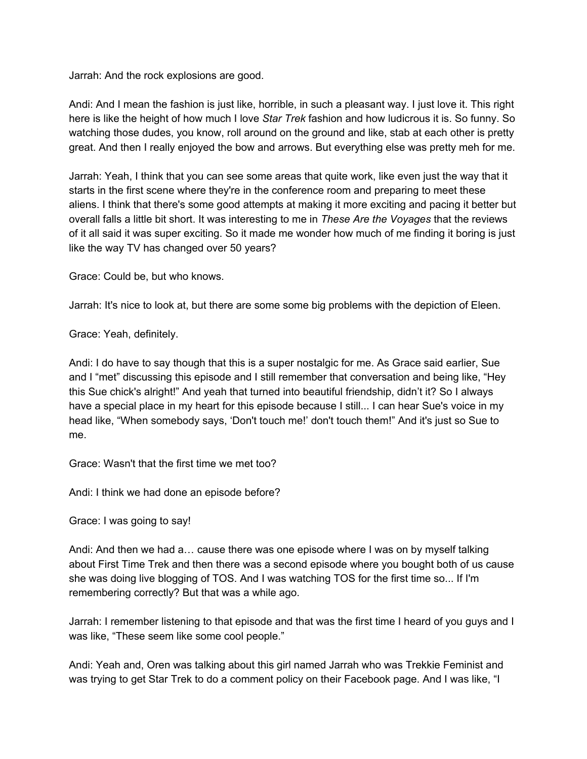Jarrah: And the rock explosions are good.

Andi: And I mean the fashion is just like, horrible, in such a pleasant way. I just love it. This right here is like the height of how much I love *Star Trek* fashion and how ludicrous it is. So funny. So watching those dudes, you know, roll around on the ground and like, stab at each other is pretty great. And then I really enjoyed the bow and arrows. But everything else was pretty meh for me.

Jarrah: Yeah, I think that you can see some areas that quite work, like even just the way that it starts in the first scene where they're in the conference room and preparing to meet these aliens. I think that there's some good attempts at making it more exciting and pacing it better but overall falls a little bit short. It was interesting to me in *These Are the Voyages* that the reviews of it all said it was super exciting. So it made me wonder how much of me finding it boring is just like the way TV has changed over 50 years?

Grace: Could be, but who knows.

Jarrah: It's nice to look at, but there are some some big problems with the depiction of Eleen.

Grace: Yeah, definitely.

Andi: I do have to say though that this is a super nostalgic for me. As Grace said earlier, Sue and I "met" discussing this episode and I still remember that conversation and being like, "Hey this Sue chick's alright!" And yeah that turned into beautiful friendship, didn't it? So I always have a special place in my heart for this episode because I still... I can hear Sue's voice in my head like, "When somebody says, 'Don't touch me!' don't touch them!" And it's just so Sue to me.

Grace: Wasn't that the first time we met too?

Andi: I think we had done an episode before?

Grace: I was going to say!

Andi: And then we had a… cause there was one episode where I was on by myself talking about First Time Trek and then there was a second episode where you bought both of us cause she was doing live blogging of TOS. And I was watching TOS for the first time so... If I'm remembering correctly? But that was a while ago.

Jarrah: I remember listening to that episode and that was the first time I heard of you guys and I was like, "These seem like some cool people."

Andi: Yeah and, Oren was talking about this girl named Jarrah who was Trekkie Feminist and was trying to get Star Trek to do a comment policy on their Facebook page. And I was like, "I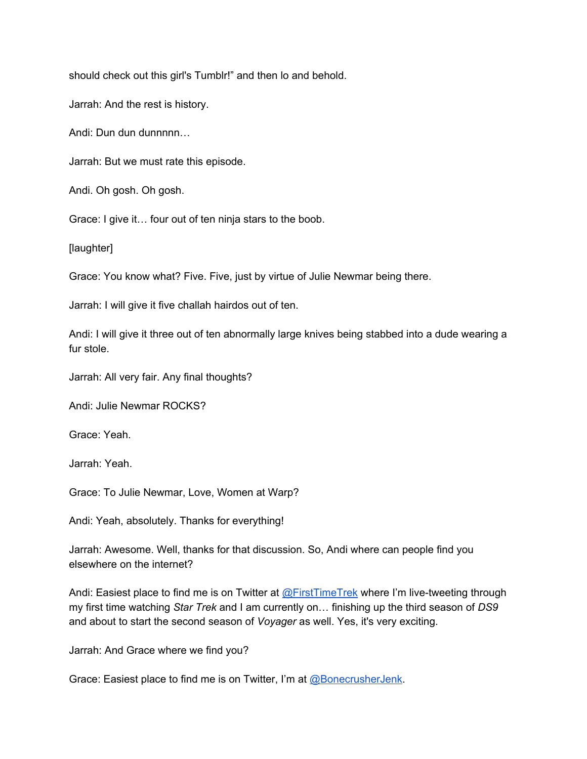should check out this girl's Tumblr!" and then lo and behold.

Jarrah: And the rest is history.

Andi: Dun dun dunnnnn...

Jarrah: But we must rate this episode.

Andi. Oh gosh. Oh gosh.

Grace: I give it… four out of ten ninja stars to the boob.

[laughter]

Grace: You know what? Five. Five, just by virtue of Julie Newmar being there.

Jarrah: I will give it five challah hairdos out of ten.

Andi: I will give it three out of ten abnormally large knives being stabbed into a dude wearing a fur stole.

Jarrah: All very fair. Any final thoughts?

Andi: Julie Newmar ROCKS?

Grace: Yeah.

Jarrah: Yeah.

Grace: To Julie Newmar, Love, Women at Warp?

Andi: Yeah, absolutely. Thanks for everything!

Jarrah: Awesome. Well, thanks for that discussion. So, Andi where can people find you elsewhere on the internet?

Andi: Easiest place to find me is on Twitter at [@FirstTimeTrek](http://twitter.com/FirstTimeTrek) where I'm live-tweeting through my first time watching *Star Trek* and I am currently on… finishing up the third season of *DS9* and about to start the second season of *Voyager* as well. Yes, it's very exciting.

Jarrah: And Grace where we find you?

Grace: Easiest place to find me is on Twitter, I'm at [@BonecrusherJenk.](http://twitter.com/BonecrusherJenk)